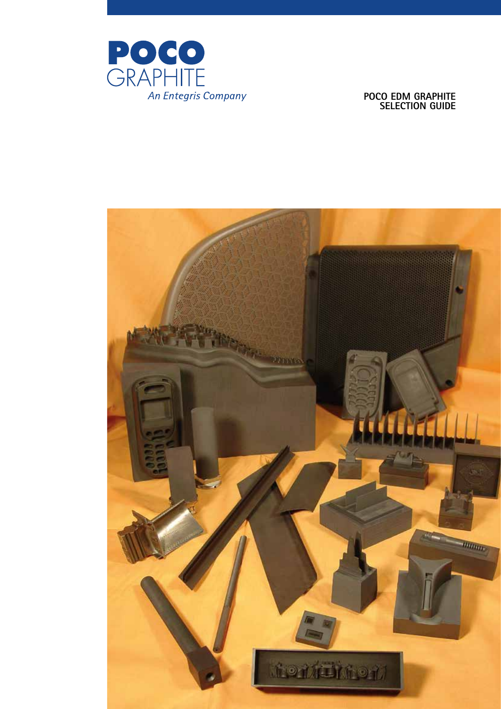

# **POCO EDM Graphite SELECTION GUID**

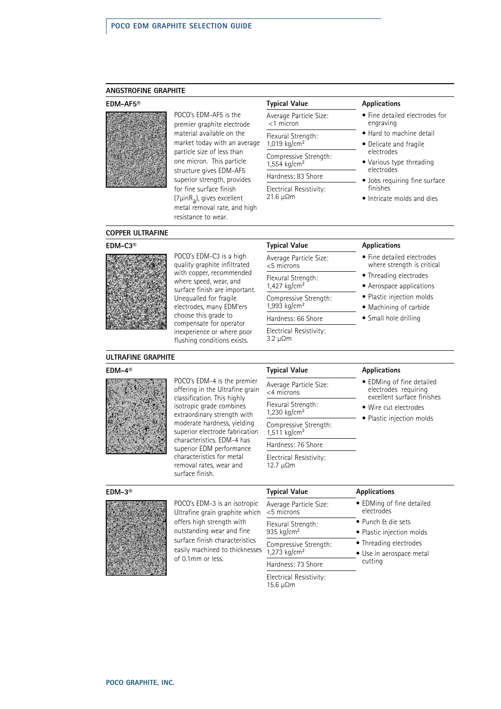### **ANGSTROFINE GRAPHITE**

#### **EDM-AF5®**



POCO's EDM-AF5 is the premier graphite electrode material available on the market today with an average particle size of less than one micron. This particle structure gives EDM-AF5 superior strength, provides for fine surface finish (7μinRa), gives excellent metal removal rate, and high resistance to wear.

# **Typical Value Applications** Average Particle Size:

<1 micron

#### Flexural Strength: 1,019 kg/cm<sup>2</sup>

Compressive Strength:

#### 1,554 kg/cm<sup>2</sup>

Hardness: 83 Shore Electrical Resistivity:

21.6 μΩm

- Fine detailed electrodes for engraving
- Hard to machine detail
- Delicate and fragile electrodes
- Various type threading electrodes
- Jobs requiring fine surface finishes
- Intricate molds and dies

#### **COPPER ULTRAFINE**

#### **EDM-C3®**



POCO's EDM-C3 is a high quality graphite infiltrated with copper, recommended where speed, wear, and surface finish are important. Unequalled for fragile electrodes, many EDM'ers choose this grade to compensate for operator inexperience or where poor flushing conditions exists.

| <b>Iypical Value</b>                                |
|-----------------------------------------------------|
| Average Particle Size:<br>$<$ 5 microns             |
| Flexural Strength:<br>1,427 kg/cm <sup>2</sup>      |
| Compressive Strength:<br>$1,993$ kg/cm <sup>2</sup> |
| Hardness: 66 Shore                                  |
| Electrical Resistivity:<br>3.2 μΩm                  |

#### **Applications**

- Fine detailed electrodes where strength is critical
- Threading electrodes
- Aerospace applications
- Plastic injection molds
- Machining of carbide
- Small hole drilling

# **ULTRAFINE GRAPHITE**

# **EDM-4®**



POCO's EDM-4 is the premier offering in the Ultrafine grain classification. This highly isotropic grade combines extraordinary strength with moderate hardness, yielding superior electrode fabrication characteristics. EDM-4 has superior EDM performance characteristics for metal removal rates, wear and surface finish.

| <b>Typical Value</b>                                | <b>Applications</b>                                       |
|-----------------------------------------------------|-----------------------------------------------------------|
| Average Particle Size:<br><4 microns                | $\bullet$ EDMing of $\cdot$<br>electrodes<br>excellent su |
| Flexural Strength:<br>1,230 kg/cm <sup>2</sup>      | $\bullet\,$ Wire cut ele                                  |
| Compressive Strength:<br>$1,511$ kg/cm <sup>2</sup> | $\bullet$ Plastic injec                                   |
| Hardness: 76 Shore                                  |                                                           |
| Electrical Resistivity:<br>12.7 μ $\Omega$ m        |                                                           |

- EDMing of fine detailed electrodes requiring excellent surface finishes
- Wire cut electrodes
- Plastic injection molds

# **EDM-3®**



POCO's EDM-3 is an isotropic Ultrafine grain graphite which offers high strength with outstanding wear and fine surface finish characteristics easily machined to thicknesses of 0.1mm or less.

| <b>Typical Value</b>                 | Applications                            |  |  |
|--------------------------------------|-----------------------------------------|--|--|
| Average Particle Size:<br><5 microns | • EDMing of fine detailed<br>electrodes |  |  |
| Flexural Strength:                   | $\bullet$ Punch & die sets              |  |  |
| 935 kg/cm <sup>2</sup>               | • Plastic injection molds               |  |  |
| Compressive Strength:                | • Threading electrodes                  |  |  |
| 1,273 kg/cm <sup>2</sup>             | • Use in aerospace metal                |  |  |
| Hardness: 73 Shore                   | cutting                                 |  |  |
| Electrical Resistivity:<br>15.6 μΩm  |                                         |  |  |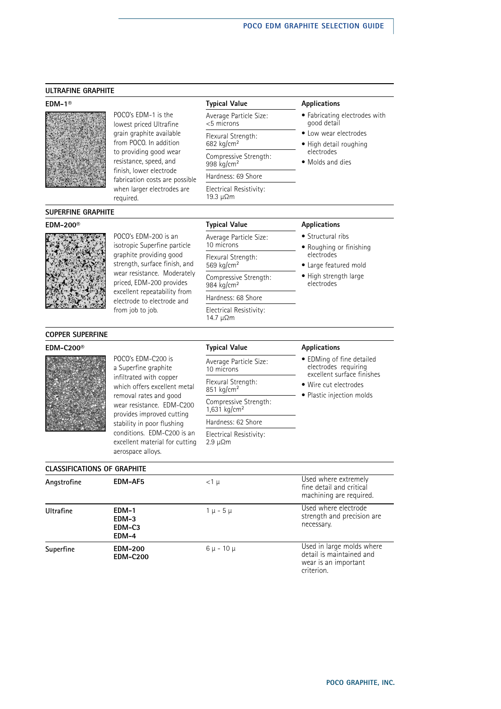# **ULTRAFINE GRAPHITE**

### **EDM-1®**



POCO's EDM-1 is the lowest priced Ultrafine grain graphite available from POCO. In addition to providing good wear resistance, speed, and finish, lower electrode fabrication costs are possible when larger electrodes are required.

Average Particle Size: <5 microns Flexural Strength:

682 kg/cm<sup>2</sup> Compressive Strength:

998 kg/cm<sup>2</sup> Hardness: 69 Shore Electrical Resistivity:

19.3 μΩm

#### **Typical Value Applications**

• Fabricating electrodes with good detail

- Low wear electrodes
- High detail roughing electrodes
- Molds and dies

#### **SUPERFINE GRAPHITE**

# **EDM-200®**



isotropic Superfine particle graphite providing good strength, surface finish, and wear resistance. Moderately priced, EDM-200 provides excellent repeatability from electrode to electrode and from job to job.

POCO's EDM-200 is an

Average Particle Size: 10 microns Flexural Strength: 569 kg/cm<sup>2</sup> Compressive Strength: 984 kg/cm<sup>2</sup> Hardness: 68 Shore

Electrical Resistivity: 14.7 μΩm

### **Typical Value Applications**

- Structural ribs
- Roughing or finishing electrodes
- Large featured mold • High strength large electrodes

# **COPPER SUPERFINE**

# **EDM-C200®**



POCO's EDM-C200 is a Superfine graphite infiltrated with copper which offers excellent metal removal rates and good wear resistance. EDM-C200 provides improved cutting stability in poor flushing conditions. EDM-C200 is an excellent material for cutting aerospace alloys.

# **Typical Value Applications**

| Average Particle Size:<br>10 microns              |
|---------------------------------------------------|
| Flexural Strength:<br>851 kg/cm <sup>2</sup>      |
| Compressive Strength:<br>1,631 kg/cm <sup>2</sup> |
| Hardness: 62 Shore                                |
| Electrical Recistivity:                           |

Electrical Resistivity: 2.

|       | ectrical Resistivity: |
|-------|-----------------------|
| 9 μΩm |                       |

- EDMing of fine detailed electrodes requiring excellent surface finishes
- Wire cut electrodes
- Plastic injection molds

| <b>CLASSIFICATIONS OF GRAPHITE</b> |                                     |                  |                                                                                             |  |
|------------------------------------|-------------------------------------|------------------|---------------------------------------------------------------------------------------------|--|
| Angstrofine                        | EDM-AF5                             | $<$ 1 $\mu$      | Used where extremely<br>fine detail and critical<br>machining are required.                 |  |
| Ultrafine                          | EDM-1<br>EDM-3<br>$EDM-C3$<br>EDM-4 | $1 \mu - 5 \mu$  | Used where electrode<br>strength and precision are<br>necessary.                            |  |
| Superfine                          | <b>EDM-200</b><br><b>EDM-C200</b>   | $6 \mu - 10 \mu$ | Used in large molds where<br>detail is maintained and<br>wear is an important<br>criterion. |  |